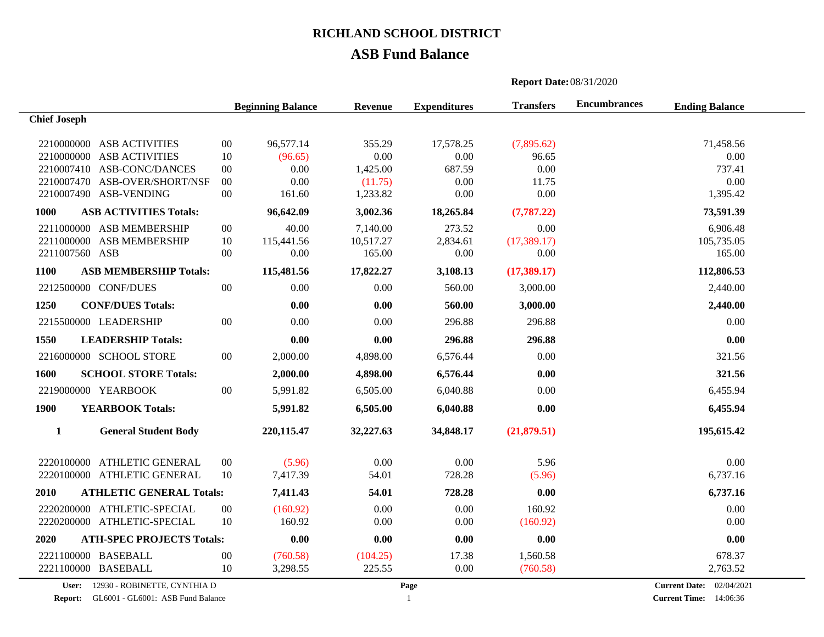## **ASB Fund Balance**

|                     |                                        | <b>Report Date: 08/31/2020</b> |                          |           |                     |                  |                     |                       |  |
|---------------------|----------------------------------------|--------------------------------|--------------------------|-----------|---------------------|------------------|---------------------|-----------------------|--|
|                     |                                        |                                | <b>Beginning Balance</b> | Revenue   | <b>Expenditures</b> | <b>Transfers</b> | <b>Encumbrances</b> | <b>Ending Balance</b> |  |
| <b>Chief Joseph</b> |                                        |                                |                          |           |                     |                  |                     |                       |  |
|                     | 2210000000 ASB ACTIVITIES              | $00\,$                         | 96,577.14                | 355.29    | 17,578.25           | (7,895.62)       |                     | 71,458.56             |  |
|                     | 2210000000 ASB ACTIVITIES              | 10                             | (96.65)                  | 0.00      | 0.00                | 96.65            |                     | 0.00                  |  |
|                     | 2210007410 ASB-CONC/DANCES             | $00\,$                         | 0.00                     | 1,425.00  | 687.59              | 0.00             |                     | 737.41                |  |
|                     | 2210007470 ASB-OVER/SHORT/NSF          | $00\,$                         | 0.00                     | (11.75)   | 0.00                | 11.75            |                     | 0.00                  |  |
|                     | 2210007490 ASB-VENDING                 | $00\,$                         | 161.60                   | 1,233.82  | 0.00                | 0.00             |                     | 1,395.42              |  |
| 1000                | <b>ASB ACTIVITIES Totals:</b>          |                                | 96,642.09                | 3,002.36  | 18,265.84           | (7, 787.22)      |                     | 73,591.39             |  |
|                     | 2211000000 ASB MEMBERSHIP              | $00\,$                         | 40.00                    | 7,140.00  | 273.52              | 0.00             |                     | 6,906.48              |  |
|                     | 2211000000 ASB MEMBERSHIP              | 10                             | 115,441.56               | 10,517.27 | 2,834.61            | (17, 389.17)     |                     | 105,735.05            |  |
| 2211007560 ASB      |                                        | $00\,$                         | 0.00                     | 165.00    | 0.00                | 0.00             |                     | 165.00                |  |
| 1100                | <b>ASB MEMBERSHIP Totals:</b>          |                                | 115,481.56               | 17,822.27 | 3,108.13            | (17,389.17)      |                     | 112,806.53            |  |
|                     | 2212500000 CONF/DUES                   | $00\,$                         | 0.00                     | 0.00      | 560.00              | 3,000.00         |                     | 2,440.00              |  |
| 1250                | <b>CONF/DUES Totals:</b>               |                                | 0.00                     | 0.00      | 560.00              | 3,000.00         |                     | 2,440.00              |  |
|                     | 2215500000 LEADERSHIP                  | $00\,$                         | 0.00                     | 0.00      | 296.88              | 296.88           |                     | 0.00                  |  |
| 1550                | <b>LEADERSHIP Totals:</b>              |                                | 0.00                     | 0.00      | 296.88              | 296.88           |                     | 0.00                  |  |
|                     | 2216000000 SCHOOL STORE                | $00\,$                         | 2,000.00                 | 4,898.00  | 6,576.44            | 0.00             |                     | 321.56                |  |
| 1600                | <b>SCHOOL STORE Totals:</b>            |                                | 2,000.00                 | 4,898.00  | 6,576.44            | 0.00             |                     | 321.56                |  |
|                     | 2219000000 YEARBOOK                    | $00\,$                         | 5,991.82                 | 6,505.00  | 6,040.88            | 0.00             |                     | 6,455.94              |  |
| 1900                | <b>YEARBOOK Totals:</b>                |                                | 5,991.82                 | 6,505.00  | 6,040.88            | 0.00             |                     | 6,455.94              |  |
| $\mathbf{1}$        | <b>General Student Body</b>            |                                | 220,115.47               | 32,227.63 | 34,848.17           | (21,879.51)      |                     | 195,615.42            |  |
|                     | 2220100000 ATHLETIC GENERAL            | $00\,$                         | (5.96)                   | 0.00      | 0.00                | 5.96             |                     | 0.00                  |  |
|                     | 2220100000 ATHLETIC GENERAL            | 10                             | 7,417.39                 | 54.01     | 728.28              | (5.96)           |                     | 6,737.16              |  |
| 2010                | <b>ATHLETIC GENERAL Totals:</b>        |                                | 7,411.43                 | 54.01     | 728.28              | 0.00             |                     | 6,737.16              |  |
|                     | 2220200000 ATHLETIC-SPECIAL            | $00\,$                         | (160.92)                 | 0.00      | 0.00                | 160.92           |                     | 0.00                  |  |
|                     | 2220200000 ATHLETIC-SPECIAL            | 10                             | 160.92                   | 0.00      | 0.00                | (160.92)         |                     | 0.00                  |  |
| 2020                | <b>ATH-SPEC PROJECTS Totals:</b>       |                                | 0.00                     | 0.00      | 0.00                | 0.00             |                     | 0.00                  |  |
|                     | 2221100000 BASEBALL                    | $00\,$                         | (760.58)                 | (104.25)  | 17.38               | 1,560.58         |                     | 678.37                |  |
|                     | 2221100000 BASEBALL                    | 10                             | 3,298.55                 | 225.55    | 0.00                | (760.58)         |                     | 2,763.52              |  |
|                     | $\mathbf{I}$ 12020 BOBBETTE CVATTULE B |                                |                          |           |                     |                  |                     | 0.104001              |  |

**User:** 12930 - ROBINETTE, CYNTHIA D

**Current Date:** 02/04/2021 **Current Time:** 14:06:36 **Report:** GL6001 - GL6001: ASB Fund Balance **Current Time: 1 Current Time: Current Time: 1**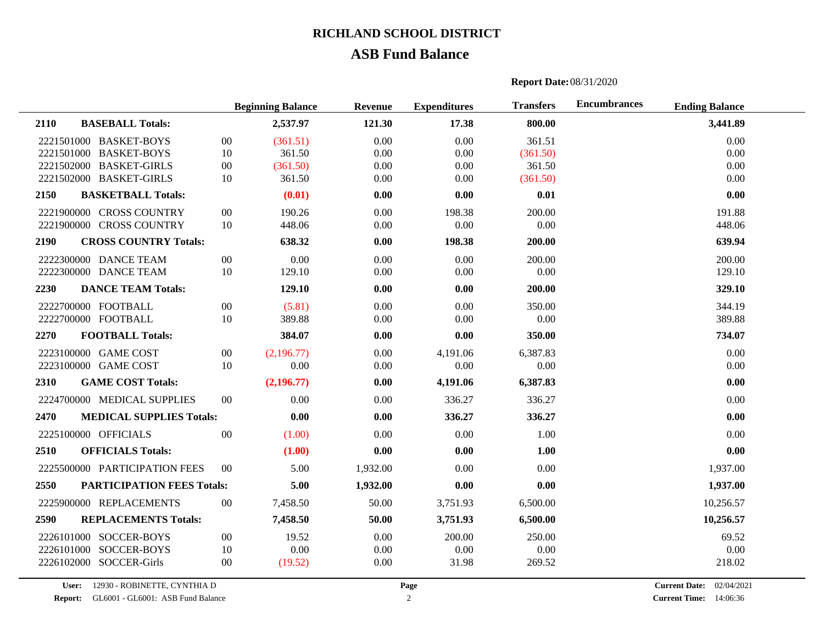### **ASB Fund Balance**

## **Beginning Balance Revenue Expenditures Transfers Encumbrances Ending Balance 2110 BASEBALL Totals: 2,537.97 121.30 17.38 800.00 3,441.89** 2221501000 BASKET-BOYS 00 (361.51) 0.00 0.00 361.51 0.00 0.00 361.51 0.00 2221501000 BASKET-BOYS 10 361.50 0.00 0.00 0.00 (361.50) 0.00 0.00 2221502000 BASKET-GIRLS 00 (361.50) 0.00 0.00 361.50 0.00 361.50 0.00 2221502000 BASKET-GIRLS 10 361.50 0.00 0.00 (361.50) 0.00 0.00 (361.50) **2150 BASKETBALL Totals: (0.01) 0.00 0.00 0.01 0.00** 2221900000 CROSS COUNTRY 00 190.26 0.00 198.38 200.00 191.88 2221900000 CROSS COUNTRY 10 448.06 0.00 0.00 0.00 0.00 448.06 448.06 **2190 CROSS COUNTRY Totals: 638.32 0.00 198.38 200.00 639.94** 2222300000 DANCE TEAM 00 0.00 0.00 0.00 0.00 200.00 200.00 200.00 200.00 2222300000 DANCE TEAM 10 129.10 0.00 0.00 0.00 0.00 129.10 129.10 **2230 DANCE TEAM Totals: 129.10 0.00 0.00 200.00 329.10** 2222700000 FOOTBALL 00 (5.81) 0.00 0.00 350.00 350.00 344.19 2222700000 FOOTBALL 10 389.88 0.00 0.00 0.00 0.00 389.88 **2270 FOOTBALL Totals: 384.07 0.00 0.00 350.00 734.07** 2223100000 GAME COST 00 (2,196.77) 0.00 4.191.06 6.387.83 0.00 0.00 2223100000 GAME COST 10 0.00 0.00 0.00 0.00 0.00 **2310 GAME COST Totals: (2,196.77) 0.00 4,191.06 6,387.83 0.00** 2224700000 MEDICAL SUPPLIES 00 0.00 0.00 336.27 336.27 0.00 **2470 MEDICAL SUPPLIES Totals: 0.00 0.00 336.27 336.27 0.00** 2225100000 OFFICIALS 00 (1.00) 0.00 0.00 1.00 0.00 **2510 OFFICIALS Totals: (1.00) 0.00 0.00 1.00 0.00** 2225500000 PARTICIPATION FEES 00 5.00 1,932.00 0.00 0.00 1,937.00 **2550 PARTICIPATION FEES Totals: 5.00 1,932.00 0.00 0.00 1,937.00** 2225900000 REPLACEMENTS 00 7,458.50 50.00 3,751.93 6,500.00 10,256.57 **2590 REPLACEMENTS Totals: 7,458.50 50.00 3,751.93 6,500.00 10,256.57** 2226101000 SOCCER-BOYS 00 19.52 0.00 200.00 250.00 69.52 2226101000 SOCCER-BOYS 10 0.00 0.00 0.00 0.00 0.00 2226102000 SOCCER-Girls 00 (19.52) 0.00 31.98 269.52 218.02

**Report Date:**08/31/2020

**User:** 12930 - ROBINETTE, CYNTHIA D

**Report:** GL6001 - GL6001: ASB Fund Balance **Current Time:** 2

**Current Date: Current Time:** 14:06:36 02/04/2021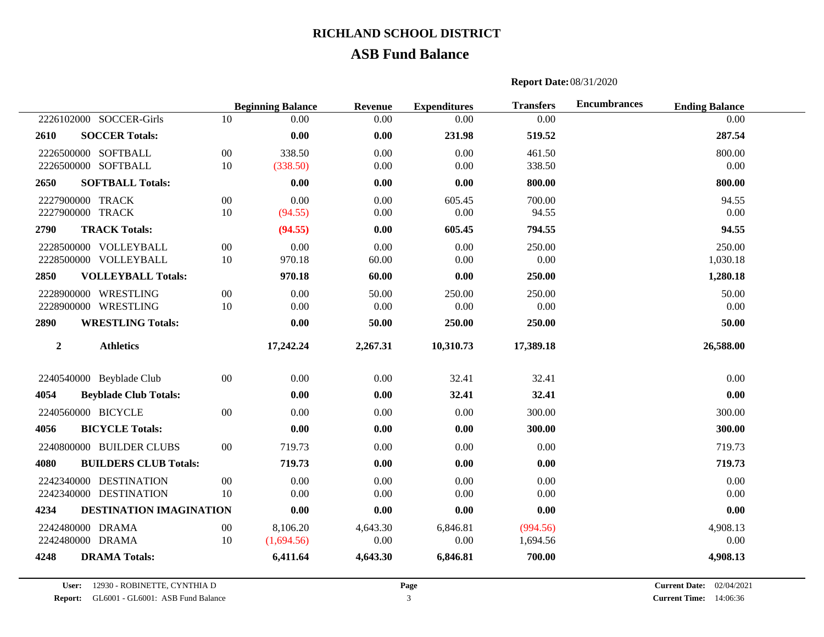## **ASB Fund Balance**

## **Beginning Balance Revenue Expenditures Transfers Encumbrances Ending Balance** 2226102000 SOCCER-Girls 10 0.00 0.00 0.00 0.00 0.00 **2610 SOCCER Totals: 0.00 0.00 231.98 519.52 287.54** 2226500000 SOFTBALL 00 338.50 0.00 0.00 461.50 800.00 2226500000 SOFTBALL 10 (338.50) 0.00 0.00 338.50 0.00 0.00 338.50 0.00 **2650 SOFTBALL Totals: 0.00 0.00 0.00 800.00 800.00** 2227900000 TRACK 00 0.00 0.00 0.00 605.45 700.00 94.55 94.55 2227900000 TRACK 10 (94.55) 0.00 0.00 94.55 0.00 0.00 94.55 **2790 TRACK Totals: (94.55) 0.00 605.45 794.55 94.55** 2228500000 VOLLEYBALL 00 0.00 0.00 0.00 250.00 250.00 2228500000 VOLLEYBALL 10 970.18 60.00 0.00 0.00 1,030.18 **2850 VOLLEYBALL Totals: 970.18 60.00 0.00 250.00 1,280.18** 2228900000 WRESTLING 00 0.00 50.00 250.00 250.00 50.00 2228900000 WRESTLING 10 0.00 0.00 0.00 0.00 0.00 **2890 WRESTLING Totals: 0.00 50.00 250.00 250.00 50.00 2 Athletics 17,242.24 2,267.31 10,310.73 17,389.18 26,588.00** 2240540000 Beyblade Club 00 0.00 0.00 32.41 32.41 0.00 0.00 **4054 Beyblade Club Totals: 0.00 0.00 32.41 32.41 0.00** 2240560000 BICYCLE 00 0.00 0.00 0.00 0.00 300.00 300.00 300.00 300.00 **4056 BICYCLE Totals: 0.00 0.00 0.00 300.00 300.00** 2240800000 BUILDER CLUBS 00 719.73 0.00 0.00 0.00 0.00 719.73 73 **4080 BUILDERS CLUB Totals: 719.73 0.00 0.00 0.00 719.73** 2242340000 DESTINATION 00 0.00 0.00 0.00 0.00 0.00 2242340000 DESTINATION 10 0.00 0.00 0.00 0.00 0.00 **4234 DESTINATION IMAGINATION 0.00 0.00 0.00 0.00 0.00** 2242480000 DRAMA 00 8,106.20 4,643.30 6,846.81 (994.56) 4,908.13

**Report Date:**08/31/2020

2242480000 DRAMA 10 (1,694.56) 0.00 0.00 1,694.56 0.00 0.00 0.00 0.00 **4248 DRAMA Totals: 6,411.64 4,643.30 6,846.81 700.00 4,908.13**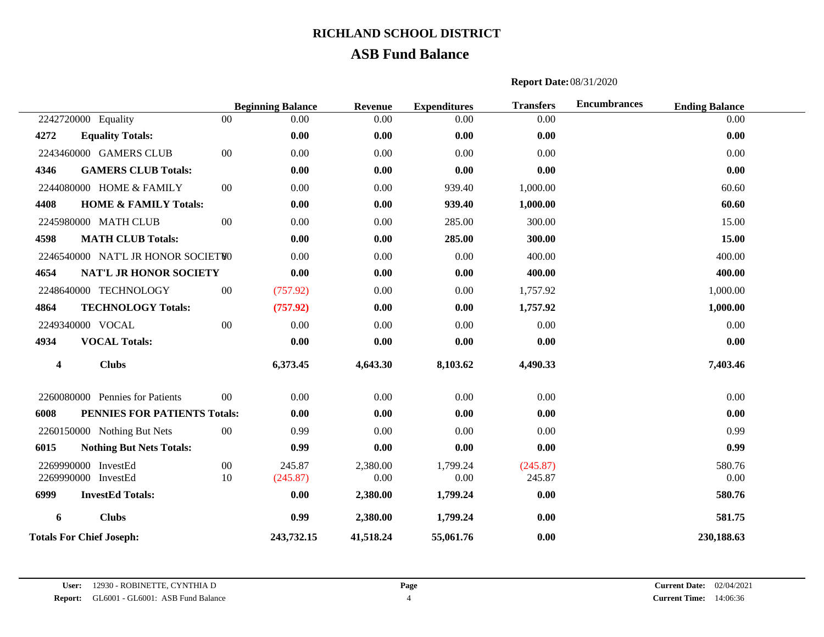## **ASB Fund Balance**

# **Beginning Balance Revenue Expenditures Transfers Encumbrances Ending Balance** 2242720000 Equality 00 0.00 0.00 0.00 0.00 0.00 **4272 Equality Totals: 0.00 0.00 0.00 0.00 0.00** 2243460000 GAMERS CLUB 00 0.00 0.00 0.00 0.00 0.00 **4346 GAMERS CLUB Totals: 0.00 0.00 0.00 0.00 0.00** 2244080000 HOME & FAMILY 00 0.00 0.00 939.40 1,000.00 60.60 60.60 **4408 HOME & FAMILY Totals: 0.00 0.00 939.40 1,000.00 60.60** 2245980000 MATH CLUB 00 0.00 0.00 285.00 300.00 15.00 15.00 **4598 MATH CLUB Totals: 0.00 0.00 285.00 300.00 15.00** 2246540000 NAT'L JR HONOR SOCIETWO 0.00 0.00 0.00 400.00 400.00 400.00 400.00 400.00 **4654 NAT'L JR HONOR SOCIETY 0.00 0.00 0.00 400.00 400.00** 2248640000 TECHNOLOGY 00 (757.92) 0.00 0.00 1,757.92 1,000.00 1,000.00 **4864 TECHNOLOGY Totals: (757.92) 0.00 0.00 1,757.92 1,000.00** 2249340000 VOCAL 00 0.00 0.00 0.00 0.00 0.00 **4934 VOCAL Totals: 0.00 0.00 0.00 0.00 0.00 4 Clubs 6,373.45 4,643.30 8,103.62 4,490.33 7,403.46** 2260080000 Pennies for Patients 00 0.00 0.00 0.00 0.00 0.00 **6008 PENNIES FOR PATIENTS Totals: 0.00 0.00 0.00 0.00 0.00** 2260150000 Nothing But Nets 00 0.99 0.00 0.00 0.00 0.00 0.00 0.99 0.99 **6015 Nothing But Nets Totals: 0.99 0.00 0.00 0.00 0.99** 2269990000 InvestEd 00 245.87 2,380.00 1,799.24 (245.87) 580.76 2269990000 InvestEd 10 (245.87) 0.00 0.00 245.87 0.00 0.00 245.87 0.00 **6999 InvestEd Totals: 0.00 2,380.00 1,799.24 0.00 580.76 6 Clubs 0.99 2,380.00 1,799.24 0.00 581.75 Totals For Chief Joseph: 243,732.15 41,518.24 55,061.76 0.00 230,188.63**

#### **Report Date:**08/31/2020